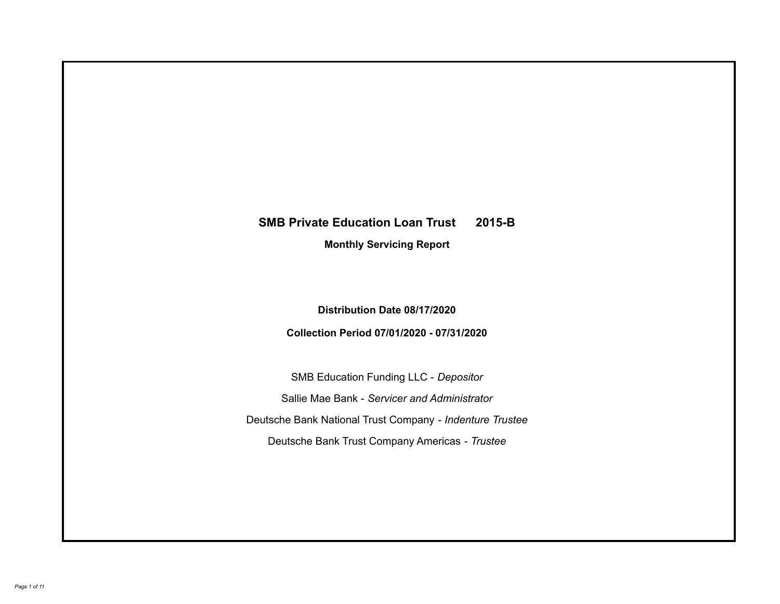# **SMB Private Education Loan Trust 2015-B Monthly Servicing Report**

**Distribution Date 08/17/2020**

**Collection Period 07/01/2020 - 07/31/2020**

SMB Education Funding LLC - *Depositor* Sallie Mae Bank - *Servicer and Administrator* Deutsche Bank National Trust Company - *Indenture Trustee* Deutsche Bank Trust Company Americas - *Trustee*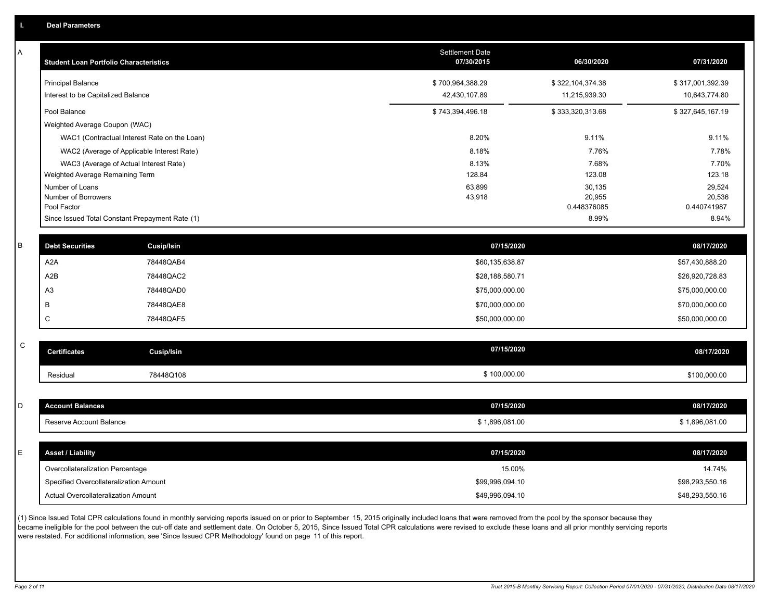| A           | <b>Student Loan Portfolio Characteristics</b> |                                                 | <b>Settlement Date</b><br>07/30/2015 | 06/30/2020            | 07/31/2020       |
|-------------|-----------------------------------------------|-------------------------------------------------|--------------------------------------|-----------------------|------------------|
|             | <b>Principal Balance</b>                      |                                                 | \$700,964,388.29                     | \$322,104,374.38      | \$317,001,392.39 |
|             | Interest to be Capitalized Balance            |                                                 | 42,430,107.89                        | 11,215,939.30         | 10,643,774.80    |
|             | Pool Balance                                  |                                                 | \$743,394,496.18                     | \$333,320,313.68      | \$327,645,167.19 |
|             | Weighted Average Coupon (WAC)                 |                                                 |                                      |                       |                  |
|             |                                               | WAC1 (Contractual Interest Rate on the Loan)    | 8.20%                                | 9.11%                 | 9.11%            |
|             |                                               | WAC2 (Average of Applicable Interest Rate)      | 8.18%                                | 7.76%                 | 7.78%            |
|             |                                               | WAC3 (Average of Actual Interest Rate)          | 8.13%                                | 7.68%                 | 7.70%            |
|             | Weighted Average Remaining Term               |                                                 | 128.84                               | 123.08                | 123.18           |
|             | Number of Loans<br>Number of Borrowers        |                                                 | 63,899                               | 30,135                | 29,524<br>20,536 |
|             | Pool Factor                                   |                                                 | 43,918                               | 20,955<br>0.448376085 | 0.440741987      |
|             |                                               | Since Issued Total Constant Prepayment Rate (1) |                                      | 8.99%                 | 8.94%            |
| B           |                                               |                                                 |                                      |                       |                  |
|             | <b>Debt Securities</b>                        | <b>Cusip/Isin</b>                               | 07/15/2020                           |                       | 08/17/2020       |
|             | A <sub>2</sub> A                              | 78448QAB4                                       | \$60,135,638.87                      |                       | \$57,430,888.20  |
|             | A <sub>2</sub> B                              | 78448QAC2                                       | \$28,188,580.71                      |                       | \$26,920,728.83  |
|             | A <sub>3</sub>                                | 78448QAD0                                       | \$75,000,000.00                      |                       | \$75,000,000.00  |
|             | B                                             | 78448QAE8                                       | \$70,000,000.00                      |                       | \$70,000,000.00  |
|             | C                                             | 78448QAF5                                       | \$50,000,000.00                      |                       | \$50,000,000.00  |
| $\mathsf C$ |                                               |                                                 |                                      |                       |                  |
|             | <b>Certificates</b>                           | <b>Cusip/Isin</b>                               | 07/15/2020                           |                       | 08/17/2020       |
|             | Residual                                      | 78448Q108                                       | \$100,000.00                         |                       | \$100,000.00     |
|             |                                               |                                                 |                                      |                       |                  |
| D           | <b>Account Balances</b>                       |                                                 | 07/15/2020                           |                       | 08/17/2020       |
|             | Reserve Account Balance                       |                                                 | \$1,896,081.00                       |                       | \$1,896,081.00   |
|             |                                               |                                                 |                                      |                       |                  |
| E           | <b>Asset / Liability</b>                      |                                                 | 07/15/2020                           |                       | 08/17/2020       |
|             | Overcollateralization Percentage              |                                                 | 15.00%                               |                       | 14.74%           |
|             | Specified Overcollateralization Amount        |                                                 | \$99,996,094.10                      |                       | \$98,293,550.16  |
|             | Actual Overcollateralization Amount           |                                                 | \$49,996,094.10                      |                       | \$48,293,550.16  |

(1) Since Issued Total CPR calculations found in monthly servicing reports issued on or prior to September 15, 2015 originally included loans that were removed from the pool by the sponsor because they .<br>became ineligible for the pool between the cut-off date and settlement date. On October 5, 2015, Since Issued Total CPR calculations were revised to exclude these loans and all prior monthly servicing reports were restated. For additional information, see 'Since Issued CPR Methodology' found on page 11 of this report.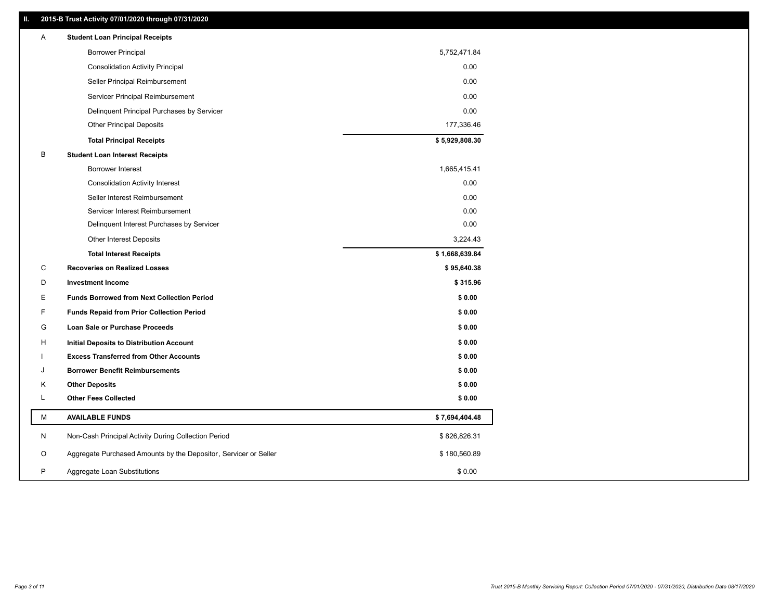# **II. 2015-B Trust Activity 07/01/2020 through 07/31/2020**

| Α | <b>Student Loan Principal Receipts</b>                           |                |
|---|------------------------------------------------------------------|----------------|
|   | <b>Borrower Principal</b>                                        | 5,752,471.84   |
|   | <b>Consolidation Activity Principal</b>                          | 0.00           |
|   | Seller Principal Reimbursement                                   | 0.00           |
|   | Servicer Principal Reimbursement                                 | 0.00           |
|   | Delinquent Principal Purchases by Servicer                       | 0.00           |
|   | <b>Other Principal Deposits</b>                                  | 177,336.46     |
|   | <b>Total Principal Receipts</b>                                  | \$5,929,808.30 |
| B | <b>Student Loan Interest Receipts</b>                            |                |
|   | Borrower Interest                                                | 1,665,415.41   |
|   | <b>Consolidation Activity Interest</b>                           | 0.00           |
|   | Seller Interest Reimbursement                                    | 0.00           |
|   | Servicer Interest Reimbursement                                  | 0.00           |
|   | Delinquent Interest Purchases by Servicer                        | 0.00           |
|   | <b>Other Interest Deposits</b>                                   | 3,224.43       |
|   | <b>Total Interest Receipts</b>                                   | \$1,668,639.84 |
| С | <b>Recoveries on Realized Losses</b>                             | \$95,640.38    |
| D | <b>Investment Income</b>                                         | \$315.96       |
| Е | <b>Funds Borrowed from Next Collection Period</b>                | \$0.00         |
| F | <b>Funds Repaid from Prior Collection Period</b>                 | \$0.00         |
| G | <b>Loan Sale or Purchase Proceeds</b>                            | \$0.00         |
| н | Initial Deposits to Distribution Account                         | \$0.00         |
|   | <b>Excess Transferred from Other Accounts</b>                    | \$0.00         |
| J | <b>Borrower Benefit Reimbursements</b>                           | \$0.00         |
| Κ | <b>Other Deposits</b>                                            | \$0.00         |
| L | <b>Other Fees Collected</b>                                      | \$0.00         |
| М | <b>AVAILABLE FUNDS</b>                                           | \$7,694,404.48 |
| N | Non-Cash Principal Activity During Collection Period             | \$826,826.31   |
| O | Aggregate Purchased Amounts by the Depositor, Servicer or Seller | \$180,560.89   |
| P | Aggregate Loan Substitutions                                     | \$0.00         |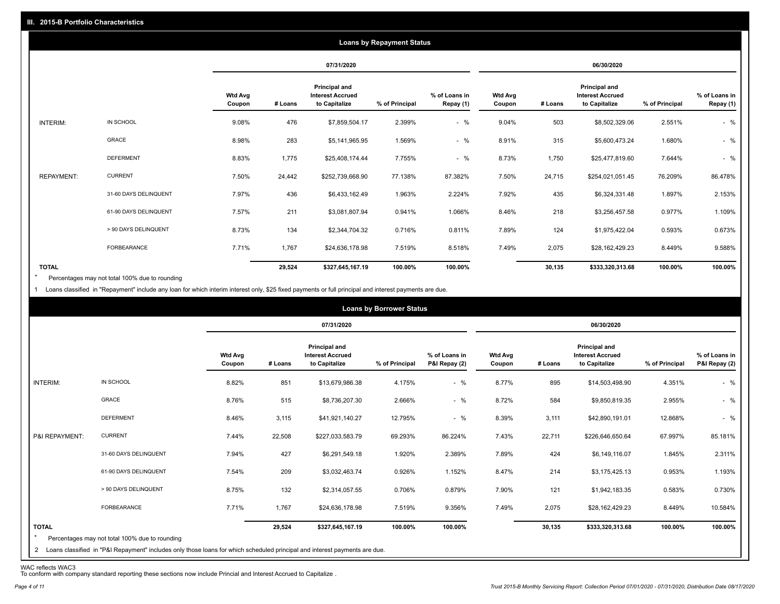|                   |                       |                          |         |                                                           | <b>Loans by Repayment Status</b> |                            |                   |         |                                                                  |                |                            |
|-------------------|-----------------------|--------------------------|---------|-----------------------------------------------------------|----------------------------------|----------------------------|-------------------|---------|------------------------------------------------------------------|----------------|----------------------------|
|                   |                       |                          |         | 07/31/2020                                                |                                  |                            |                   |         | 06/30/2020                                                       |                |                            |
|                   |                       | <b>Wtd Avg</b><br>Coupon | # Loans | Principal and<br><b>Interest Accrued</b><br>to Capitalize | % of Principal                   | % of Loans in<br>Repay (1) | Wtd Avg<br>Coupon | # Loans | <b>Principal and</b><br><b>Interest Accrued</b><br>to Capitalize | % of Principal | % of Loans in<br>Repay (1) |
| INTERIM:          | IN SCHOOL             | 9.08%                    | 476     | \$7,859,504.17                                            | 2.399%                           | $-$ %                      | 9.04%             | 503     | \$8,502,329.06                                                   | 2.551%         | $-$ %                      |
|                   | GRACE                 | 8.98%                    | 283     | \$5,141,965.95                                            | 1.569%                           | $-$ %                      | 8.91%             | 315     | \$5,600,473.24                                                   | 1.680%         | $-$ %                      |
|                   | <b>DEFERMENT</b>      | 8.83%                    | 1,775   | \$25,408,174.44                                           | 7.755%                           | $-$ %                      | 8.73%             | 1,750   | \$25,477,819.60                                                  | 7.644%         | $-$ %                      |
| <b>REPAYMENT:</b> | <b>CURRENT</b>        | 7.50%                    | 24,442  | \$252,739,668.90                                          | 77.138%                          | 87.382%                    | 7.50%             | 24,715  | \$254,021,051.45                                                 | 76.209%        | 86.478%                    |
|                   | 31-60 DAYS DELINQUENT | 7.97%                    | 436     | \$6,433,162.49                                            | 1.963%                           | 2.224%                     | 7.92%             | 435     | \$6,324,331.48                                                   | 1.897%         | 2.153%                     |
|                   | 61-90 DAYS DELINQUENT | 7.57%                    | 211     | \$3,081,807.94                                            | 0.941%                           | 1.066%                     | 8.46%             | 218     | \$3,256,457.58                                                   | 0.977%         | 1.109%                     |
|                   | > 90 DAYS DELINQUENT  | 8.73%                    | 134     | \$2,344,704.32                                            | 0.716%                           | 0.811%                     | 7.89%             | 124     | \$1,975,422.04                                                   | 0.593%         | 0.673%                     |
|                   | <b>FORBEARANCE</b>    | 7.71%                    | 1,767   | \$24,636,178.98                                           | 7.519%                           | 8.518%                     | 7.49%             | 2,075   | \$28,162,429.23                                                  | 8.449%         | 9.588%                     |
| <b>TOTAL</b>      |                       |                          | 29,524  | \$327,645,167.19                                          | 100.00%                          | 100.00%                    |                   | 30,135  | \$333,320,313.68                                                 | 100.00%        | 100.00%                    |

Percentages may not total 100% due to rounding  $\star$ 

1 Loans classified in "Repayment" include any loan for which interim interest only, \$25 fixed payments or full principal and interest payments are due.

|                         |                                                                                                                              |                          |         |                                                           | <b>Loans by Borrower Status</b> |                                |                          |         |                                                                  |                |                                |
|-------------------------|------------------------------------------------------------------------------------------------------------------------------|--------------------------|---------|-----------------------------------------------------------|---------------------------------|--------------------------------|--------------------------|---------|------------------------------------------------------------------|----------------|--------------------------------|
|                         |                                                                                                                              |                          |         | 07/31/2020                                                |                                 |                                |                          |         | 06/30/2020                                                       |                |                                |
|                         |                                                                                                                              | <b>Wtd Avg</b><br>Coupon | # Loans | Principal and<br><b>Interest Accrued</b><br>to Capitalize | % of Principal                  | % of Loans in<br>P&I Repay (2) | <b>Wtd Avg</b><br>Coupon | # Loans | <b>Principal and</b><br><b>Interest Accrued</b><br>to Capitalize | % of Principal | % of Loans in<br>P&I Repay (2) |
| INTERIM:                | IN SCHOOL                                                                                                                    | 8.82%                    | 851     | \$13,679,986.38                                           | 4.175%                          | $-$ %                          | 8.77%                    | 895     | \$14,503,498.90                                                  | 4.351%         | $-$ %                          |
|                         | GRACE                                                                                                                        | 8.76%                    | 515     | \$8,736,207.30                                            | 2.666%                          | $-$ %                          | 8.72%                    | 584     | \$9,850,819.35                                                   | 2.955%         | $-$ %                          |
|                         | <b>DEFERMENT</b>                                                                                                             | 8.46%                    | 3,115   | \$41,921,140.27                                           | 12.795%                         | $-$ %                          | 8.39%                    | 3,111   | \$42,890,191.01                                                  | 12.868%        | $-$ %                          |
| P&I REPAYMENT:          | <b>CURRENT</b>                                                                                                               | 7.44%                    | 22,508  | \$227,033,583.79                                          | 69.293%                         | 86.224%                        | 7.43%                    | 22,711  | \$226,646,650.64                                                 | 67.997%        | 85.181%                        |
|                         | 31-60 DAYS DELINQUENT                                                                                                        | 7.94%                    | 427     | \$6,291,549.18                                            | 1.920%                          | 2.389%                         | 7.89%                    | 424     | \$6,149,116.07                                                   | 1.845%         | 2.311%                         |
|                         | 61-90 DAYS DELINQUENT                                                                                                        | 7.54%                    | 209     | \$3,032,463.74                                            | 0.926%                          | 1.152%                         | 8.47%                    | 214     | \$3,175,425.13                                                   | 0.953%         | 1.193%                         |
|                         | > 90 DAYS DELINQUENT                                                                                                         | 8.75%                    | 132     | \$2,314,057.55                                            | 0.706%                          | 0.879%                         | 7.90%                    | 121     | \$1,942,183.35                                                   | 0.583%         | 0.730%                         |
|                         | FORBEARANCE                                                                                                                  | 7.71%                    | 1,767   | \$24,636,178.98                                           | 7.519%                          | 9.356%                         | 7.49%                    | 2,075   | \$28,162,429.23                                                  | 8.449%         | 10.584%                        |
| <b>TOTAL</b><br>$\star$ | Percentages may not total 100% due to rounding                                                                               |                          | 29,524  | \$327,645,167.19                                          | 100.00%                         | 100.00%                        |                          | 30,135  | \$333,320,313.68                                                 | 100.00%        | 100.00%                        |
|                         | 2 Loans classified in "P&I Repayment" includes only those loans for which scheduled principal and interest payments are due. |                          |         |                                                           |                                 |                                |                          |         |                                                                  |                |                                |

WAC reflects WAC3 To conform with company standard reporting these sections now include Princial and Interest Accrued to Capitalize .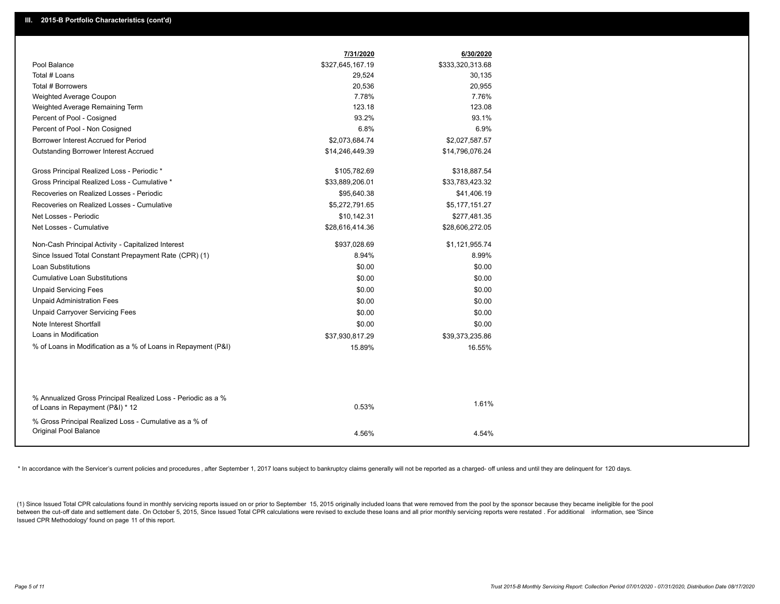|                                                               | 7/31/2020        | 6/30/2020        |
|---------------------------------------------------------------|------------------|------------------|
| Pool Balance                                                  | \$327,645,167.19 | \$333,320,313.68 |
| Total # Loans                                                 | 29,524           | 30,135           |
| Total # Borrowers                                             | 20,536           | 20,955           |
| Weighted Average Coupon                                       | 7.78%            | 7.76%            |
| Weighted Average Remaining Term                               | 123.18           | 123.08           |
| Percent of Pool - Cosigned                                    | 93.2%            | 93.1%            |
| Percent of Pool - Non Cosigned                                | 6.8%             | 6.9%             |
| Borrower Interest Accrued for Period                          | \$2,073,684.74   | \$2,027,587.57   |
| Outstanding Borrower Interest Accrued                         | \$14,246,449.39  | \$14,796,076.24  |
| Gross Principal Realized Loss - Periodic *                    | \$105,782.69     | \$318,887.54     |
| Gross Principal Realized Loss - Cumulative *                  | \$33,889,206.01  | \$33,783,423.32  |
| Recoveries on Realized Losses - Periodic                      | \$95,640.38      | \$41,406.19      |
| Recoveries on Realized Losses - Cumulative                    | \$5,272,791.65   | \$5,177,151.27   |
| Net Losses - Periodic                                         | \$10,142.31      | \$277,481.35     |
| Net Losses - Cumulative                                       | \$28,616,414.36  | \$28,606,272.05  |
| Non-Cash Principal Activity - Capitalized Interest            | \$937,028.69     | \$1,121,955.74   |
| Since Issued Total Constant Prepayment Rate (CPR) (1)         | 8.94%            | 8.99%            |
| <b>Loan Substitutions</b>                                     | \$0.00           | \$0.00           |
| <b>Cumulative Loan Substitutions</b>                          | \$0.00           | \$0.00           |
| <b>Unpaid Servicing Fees</b>                                  | \$0.00           | \$0.00           |
| <b>Unpaid Administration Fees</b>                             | \$0.00           | \$0.00           |
| <b>Unpaid Carryover Servicing Fees</b>                        | \$0.00           | \$0.00           |
| Note Interest Shortfall                                       | \$0.00           | \$0.00           |
| Loans in Modification                                         | \$37,930,817.29  | \$39,373,235.86  |
| % of Loans in Modification as a % of Loans in Repayment (P&I) | 15.89%           | 16.55%           |
|                                                               |                  |                  |
| % Annualized Gross Principal Realized Loss - Periodic as a %  |                  |                  |
| of Loans in Repayment (P&I) * 12                              | 0.53%            | 1.61%            |
| % Gross Principal Realized Loss - Cumulative as a % of        |                  |                  |
| Original Pool Balance                                         | 4.56%            | 4.54%            |

\* In accordance with the Servicer's current policies and procedures, after September 1, 2017 loans subject to bankruptcy claims generally will not be reported as a charged- off unless and until they are delinquent for 120

(1) Since Issued Total CPR calculations found in monthly servicing reports issued on or prior to September 15, 2015 originally included loans that were removed from the pool by the sponsor because they became ineligible fo between the cut-off date and settlement date. On October 5, 2015, Since Issued Total CPR calculations were revised to exclude these loans and all prior monthly servicing reports were restated. For additional information, s Issued CPR Methodology' found on page 11 of this report.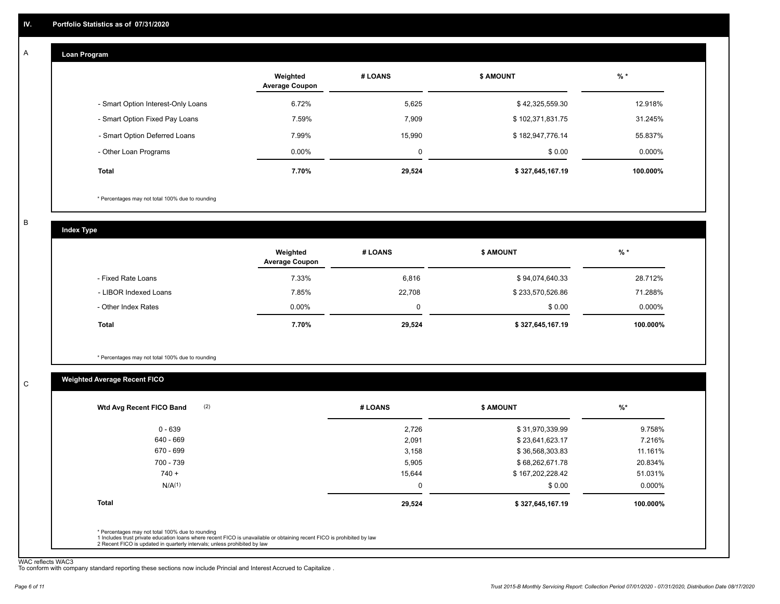#### **Loan Program**  A

|                                    | Weighted<br><b>Average Coupon</b> | # LOANS | <b>\$ AMOUNT</b> | $%$ *    |
|------------------------------------|-----------------------------------|---------|------------------|----------|
| - Smart Option Interest-Only Loans | 6.72%                             | 5,625   | \$42,325,559.30  | 12.918%  |
| - Smart Option Fixed Pay Loans     | 7.59%                             | 7.909   | \$102,371,831.75 | 31.245%  |
| - Smart Option Deferred Loans      | 7.99%                             | 15.990  | \$182,947,776.14 | 55.837%  |
| - Other Loan Programs              | $0.00\%$                          | 0       | \$0.00           | 0.000%   |
| <b>Total</b>                       | 7.70%                             | 29,524  | \$327,645,167.19 | 100.000% |

\* Percentages may not total 100% due to rounding

B

C

**Index Type**

|                       | Weighted<br><b>Average Coupon</b> | # LOANS | <b>\$ AMOUNT</b> | $%$ *     |
|-----------------------|-----------------------------------|---------|------------------|-----------|
| - Fixed Rate Loans    | 7.33%                             | 6,816   | \$94,074,640.33  | 28.712%   |
| - LIBOR Indexed Loans | 7.85%                             | 22,708  | \$233,570,526.86 | 71.288%   |
| - Other Index Rates   | $0.00\%$                          | 0       | \$0.00           | $0.000\%$ |
| Total                 | 7.70%                             | 29,524  | \$327,645,167.19 | 100.000%  |

\* Percentages may not total 100% due to rounding

# **Weighted Average Recent FICO**

| $0 - 639$          | 2,726    | \$31,970,339.99  | 9.758%   |
|--------------------|----------|------------------|----------|
| 640 - 669          | 2,091    | \$23,641,623.17  | 7.216%   |
| 670 - 699          | 3,158    | \$36,568,303.83  | 11.161%  |
| 700 - 739          | 5,905    | \$68,262,671.78  | 20.834%  |
| $740 +$            | 15,644   | \$167,202,228.42 | 51.031%  |
| N/A <sup>(1)</sup> | $\Omega$ | \$0.00           | 0.000%   |
| <b>Total</b>       | 29,524   | \$327,645,167.19 | 100.000% |

WAC reflects WAC3 To conform with company standard reporting these sections now include Princial and Interest Accrued to Capitalize .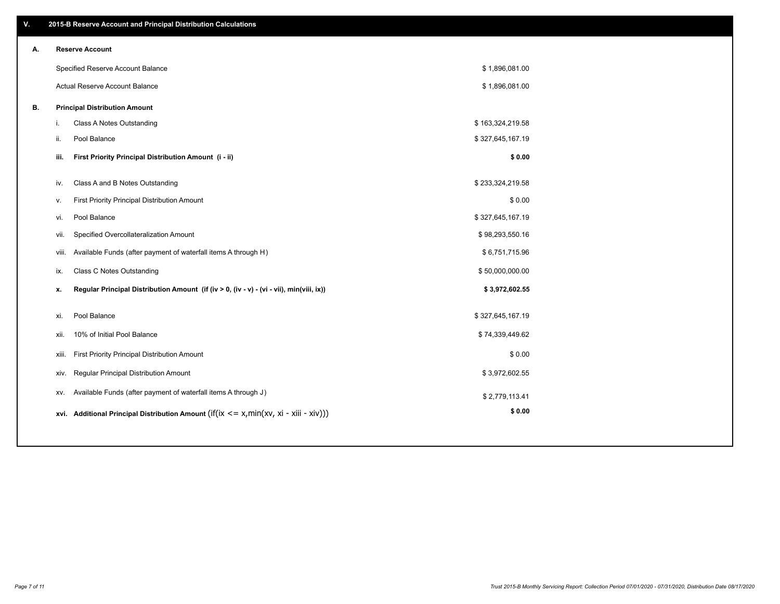| V. |     | 2015-B Reserve Account and Principal Distribution Calculations                             |                  |  |
|----|-----|--------------------------------------------------------------------------------------------|------------------|--|
| А. |     | <b>Reserve Account</b>                                                                     |                  |  |
|    |     | Specified Reserve Account Balance                                                          | \$1,896,081.00   |  |
|    |     | Actual Reserve Account Balance                                                             | \$1,896,081.00   |  |
| В. |     | <b>Principal Distribution Amount</b>                                                       |                  |  |
|    | i.  | Class A Notes Outstanding                                                                  | \$163,324,219.58 |  |
|    | ii. | Pool Balance                                                                               | \$327,645,167.19 |  |
|    |     | First Priority Principal Distribution Amount (i - ii)<br>iii.                              | \$0.00           |  |
|    |     | Class A and B Notes Outstanding<br>iv.                                                     | \$233,324,219.58 |  |
|    | v.  | First Priority Principal Distribution Amount                                               | \$0.00           |  |
|    |     | Pool Balance<br>vi.                                                                        | \$327,645,167.19 |  |
|    |     | Specified Overcollateralization Amount<br>vii.                                             | \$98,293,550.16  |  |
|    |     | Available Funds (after payment of waterfall items A through H)<br>viii.                    | \$6,751,715.96   |  |
|    |     | <b>Class C Notes Outstanding</b><br>ix.                                                    | \$50,000,000.00  |  |
|    | x.  | Regular Principal Distribution Amount (if (iv > 0, (iv - v) - (vi - vii), min(viii, ix))   | \$3,972,602.55   |  |
|    |     |                                                                                            |                  |  |
|    |     | Pool Balance<br>xi.                                                                        | \$327,645,167.19 |  |
|    |     | 10% of Initial Pool Balance<br>xii.                                                        | \$74,339,449.62  |  |
|    |     | First Priority Principal Distribution Amount<br>xiii.                                      | \$0.00           |  |
|    |     | Regular Principal Distribution Amount<br>XIV.                                              | \$3,972,602.55   |  |
|    |     | Available Funds (after payment of waterfall items A through J)<br>XV.                      | \$2,779,113.41   |  |
|    |     | xvi. Additional Principal Distribution Amount (if(ix $\lt$ = x, min(xv, xi - xiii - xiv))) | \$0.00           |  |
|    |     |                                                                                            |                  |  |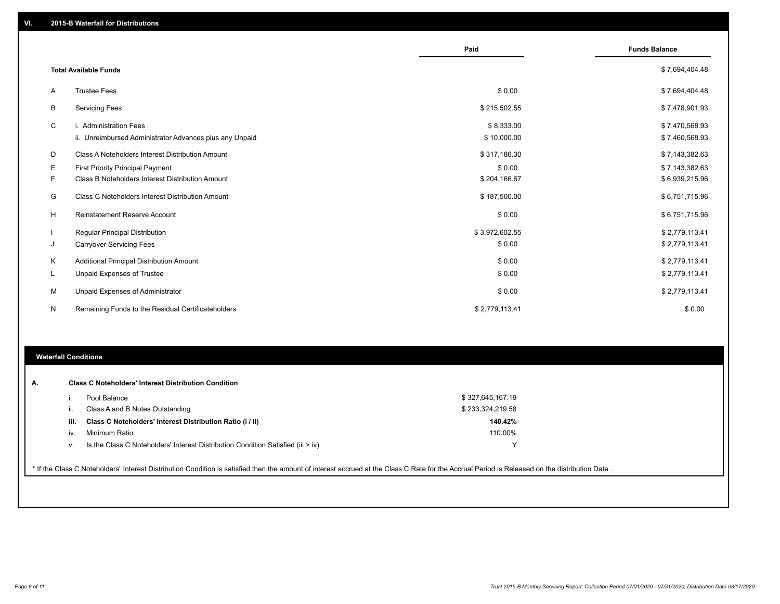|    |                                                         | Paid           | <b>Funds Balance</b> |
|----|---------------------------------------------------------|----------------|----------------------|
|    | <b>Total Available Funds</b>                            |                | \$7,694,404.48       |
| A  | <b>Trustee Fees</b>                                     | \$0.00         | \$7,694,404.48       |
| В  | <b>Servicing Fees</b>                                   | \$215,502.55   | \$7,478,901.93       |
| C  | i. Administration Fees                                  | \$8,333.00     | \$7,470,568.93       |
|    | ii. Unreimbursed Administrator Advances plus any Unpaid | \$10,000.00    | \$7,460,568.93       |
| D  | Class A Noteholders Interest Distribution Amount        | \$317,186.30   | \$7,143,382.63       |
| E. | First Priority Principal Payment                        | \$0.00         | \$7,143,382.63       |
| F. | Class B Noteholders Interest Distribution Amount        | \$204,166.67   | \$6,939,215.96       |
| G  | <b>Class C Noteholders Interest Distribution Amount</b> | \$187,500.00   | \$6,751,715.96       |
| H  | <b>Reinstatement Reserve Account</b>                    | \$0.00         | \$6,751,715.96       |
|    | Regular Principal Distribution                          | \$3,972,602.55 | \$2,779,113.41       |
| J  | <b>Carryover Servicing Fees</b>                         | \$0.00         | \$2,779,113.41       |
| Κ  | Additional Principal Distribution Amount                | \$0.00         | \$2,779,113.41       |
| L  | Unpaid Expenses of Trustee                              | \$0.00         | \$2,779,113.41       |
| м  | Unpaid Expenses of Administrator                        | \$0.00         | \$2,779,113.41       |
| N  | Remaining Funds to the Residual Certificateholders      | \$2,779,113.41 | \$0.00               |

### **Waterfall Conditions**

|      | Pool Balance                                                                       | \$327,645,167.19 |  |
|------|------------------------------------------------------------------------------------|------------------|--|
| Ш.   | Class A and B Notes Outstanding                                                    | \$233,324,219.58 |  |
| iii. | Class C Noteholders' Interest Distribution Ratio (i / ii)                          | 140.42%          |  |
| iv.  | Minimum Ratio                                                                      | 110.00%          |  |
| V.   | Is the Class C Noteholders' Interest Distribution Condition Satisfied (iii $>$ iv) |                  |  |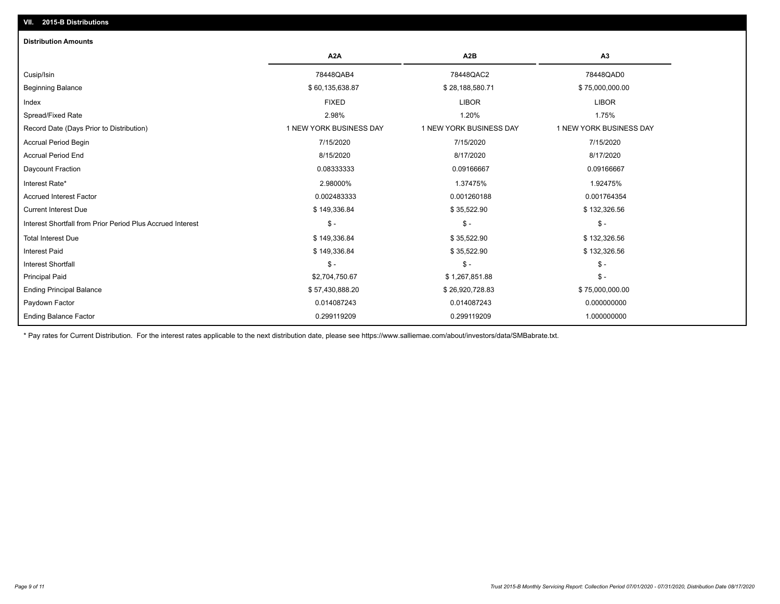# Ending Principal Balance \$ 75,000,000.00 \$ 26,920,728.83 \$ 75,000,000.00 \$ 75,000,000.00 Principal Paid \$2,704,750.67 \$ 1,267,851.88 \$ - Interest Shortfall \$ - \$ - \$ lnterest Paid \$ 149,336.84 \$ 35,522.90 \$ 35,522.90 \$ 132,326.56 Total Interest Due \$ 149,336.84 \$ 35,522.90 \$ \$ 35,522.90 \$ 35,522.90 \$ 35,522.90 \$ 35,522.90 \$ 35,522.90 \$ 35,522.90 Interest Shortfall from Prior Period Plus Accrued Interest \$ - \$ - \$ - Current Interest Due \$ 149,336.84 \$ 35,522.90 \$ 132,326.56 Accrued Interest Factor 0.002483333 0.001260188 0.001764354 Interest Rate\* 2.98000% 1.37475% 1.92475% Daycount Fraction 0.08333333 0.09166667 0.09166667 Accrual Period End 8/15/2020 8/17/2020 8/17/2020 Accrual Period Begin 7/15/2020 7/15/2020 7/15/2020 Record Date (Days Prior to Distribution) 1 1 NEW YORK BUSINESS DAY 1 NEW YORK BUSINESS DAY 1 NEW YORK BUSINESS DAY Spread/Fixed Rate 2.98% 1.20% 1.75% Index FIXED LIBOR LIBOR Beginning Balance \$ 75,000,000.00 \$ 28,188,580.71 \$ 28,188,580.71 \$ 39,188,580.71 \$ 75,000,000.00 Cusip/Isin 78448QAB4 78448QAC2 78448QAD0 **A2A A2B A3 Distribution Amounts VII. 2015-B Distributions**

Paydown Factor 0.014087243 0.014087243 0.000000000

0.299119209 0.299119209 1.000000000

\* Pay rates for Current Distribution. For the interest rates applicable to the next distribution date, please see https://www.salliemae.com/about/investors/data/SMBabrate.txt.

Ending Balance Factor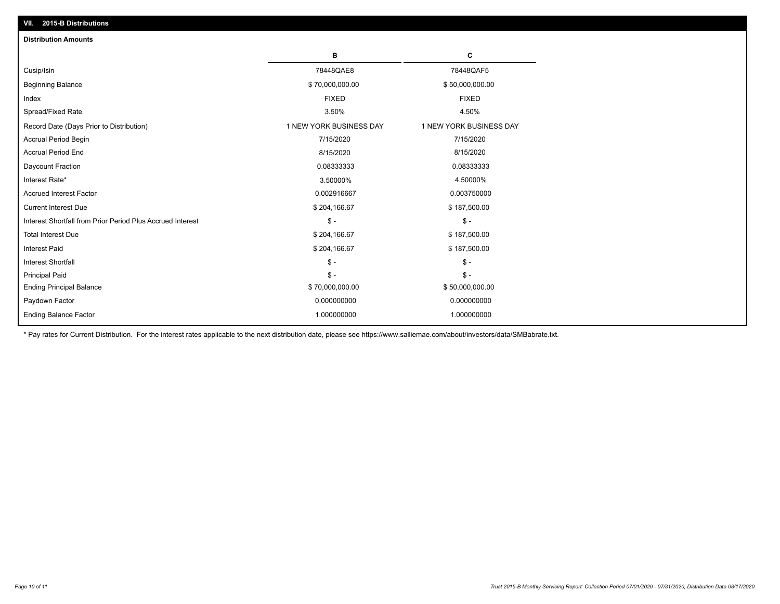| VII. 2015-B Distributions                                  |                         |                         |
|------------------------------------------------------------|-------------------------|-------------------------|
| <b>Distribution Amounts</b>                                |                         |                         |
|                                                            | в                       | c                       |
| Cusip/Isin                                                 | 78448QAE8               | 78448QAF5               |
| <b>Beginning Balance</b>                                   | \$70,000,000.00         | \$50,000,000.00         |
| Index                                                      | <b>FIXED</b>            | <b>FIXED</b>            |
| Spread/Fixed Rate                                          | 3.50%                   | 4.50%                   |
| Record Date (Days Prior to Distribution)                   | 1 NEW YORK BUSINESS DAY | 1 NEW YORK BUSINESS DAY |
| <b>Accrual Period Begin</b>                                | 7/15/2020               | 7/15/2020               |
| <b>Accrual Period End</b>                                  | 8/15/2020               | 8/15/2020               |
| Daycount Fraction                                          | 0.08333333              | 0.08333333              |
| Interest Rate*                                             | 3.50000%                | 4.50000%                |
| <b>Accrued Interest Factor</b>                             | 0.002916667             | 0.003750000             |
| <b>Current Interest Due</b>                                | \$204,166.67            | \$187,500.00            |
| Interest Shortfall from Prior Period Plus Accrued Interest | $\mathsf{\$}$ -         | $\mathsf{\$}$ -         |
| <b>Total Interest Due</b>                                  | \$204,166.67            | \$187,500.00            |
| Interest Paid                                              | \$204,166.67            | \$187,500.00            |
| <b>Interest Shortfall</b>                                  | $\mathcal{S}$ -         | $\mathcal{S}$ -         |
| <b>Principal Paid</b>                                      | $\mathsf{\$}$ -         | $S -$                   |
| <b>Ending Principal Balance</b>                            | \$70,000,000.00         | \$50,000,000.00         |
| Paydown Factor                                             | 0.000000000             | 0.000000000             |
| <b>Ending Balance Factor</b>                               | 1.000000000             | 1.000000000             |
|                                                            |                         |                         |

\* Pay rates for Current Distribution. For the interest rates applicable to the next distribution date, please see https://www.salliemae.com/about/investors/data/SMBabrate.txt.